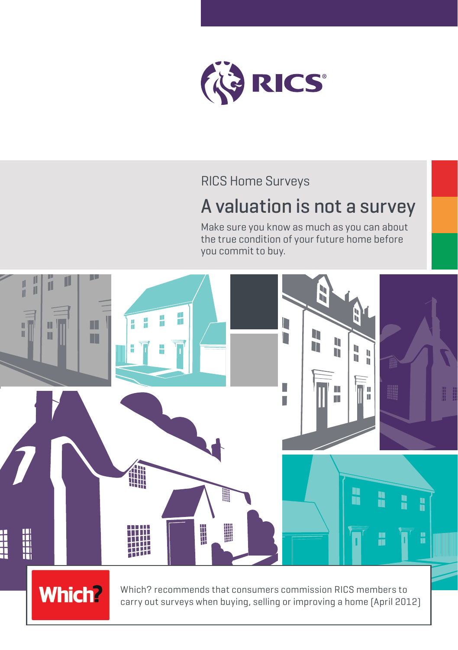

RICS Home Surveys

# A valuation is not a survey

Make sure you know as much as you can about the true condition of your future home before you commit to buy.

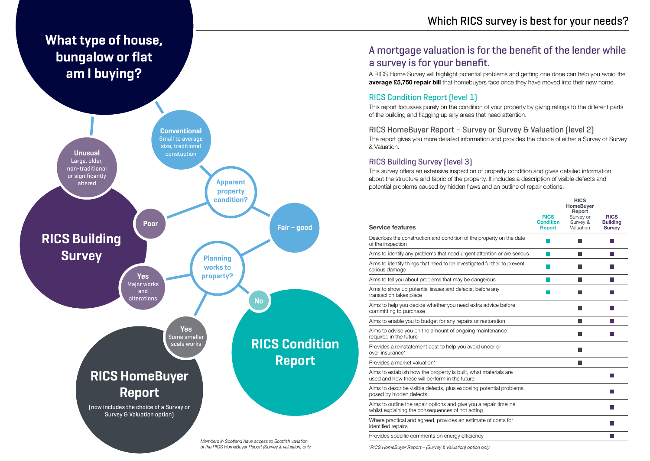

# A mortgage valuation is for the benefit of the lender while a survey is for your benefit.

A RICS Home Survey will highlight potential problems and getting one done can help you avoid the **average £5,750 repair bill** that homebuyers face once they have moved into their new home.

### RICS Condition Report (level 1)

This report focusses purely on the condition of your property by giving ratings to the different parts of the building and flagging up any areas that need attention.

### RICS HomeBuyer Report – Survey or Survey & Valuation (level 2)

The report gives you more detailed information and provides the choice of either a Survey or Survey & Valuation.

### RICS Building Survey (level 3)

This survey offers an extensive inspection of property condition and gives detailed information about the structure and fabric of the property. It includes a description of visible defects and potential problems caused by hidden flaws and an outline of repair options.

| Service features                                                                                                       | <b>RICS</b><br><b>Condition</b><br><b>Report</b> | <b>RICS</b><br>HomeBuyer<br>Report<br>Survey or<br>Survey &<br>Valuation | <b>RICS</b><br><b>Building</b><br><b>Survey</b> |
|------------------------------------------------------------------------------------------------------------------------|--------------------------------------------------|--------------------------------------------------------------------------|-------------------------------------------------|
| Describes the construction and condition of the property on the date<br>of the inspection                              |                                                  |                                                                          |                                                 |
| Aims to identify any problems that need urgent attention or are serious                                                |                                                  |                                                                          |                                                 |
| Aims to identify things that need to be investigated further to prevent<br>serious damage                              |                                                  |                                                                          |                                                 |
| Aims to tell you about problems that may be dangerous                                                                  |                                                  |                                                                          |                                                 |
| Aims to show up potential issues and defects, before any<br>transaction takes place                                    |                                                  |                                                                          |                                                 |
| Aims to help you decide whether you need extra advice before<br>committing to purchase                                 |                                                  |                                                                          |                                                 |
| Aims to enable you to budget for any repairs or restoration                                                            |                                                  |                                                                          |                                                 |
| Aims to advise you on the amount of ongoing maintenance<br>required in the future                                      |                                                  |                                                                          |                                                 |
| Provides a reinstatement cost to help you avoid under or<br>over-insurance*                                            |                                                  |                                                                          |                                                 |
| Provides a market valuation*                                                                                           |                                                  |                                                                          |                                                 |
| Aims to establish how the property is built, what materials are<br>used and how these will perform in the future       |                                                  |                                                                          |                                                 |
| Aims to describe visible defects, plus exposing potential problems<br>posed by hidden defects                          |                                                  |                                                                          |                                                 |
| Aims to outline the repair options and give you a repair timeline,<br>whilst explaining the consequences of not acting |                                                  |                                                                          |                                                 |
| Where practical and agreed, provides an estimate of costs for<br>identified repairs                                    |                                                  |                                                                          |                                                 |
| Provides specific comments on energy efficiency                                                                        |                                                  |                                                                          |                                                 |
|                                                                                                                        |                                                  |                                                                          |                                                 |

*\*RICS HomeBuyer Report – (Survey & Valuation) option only*